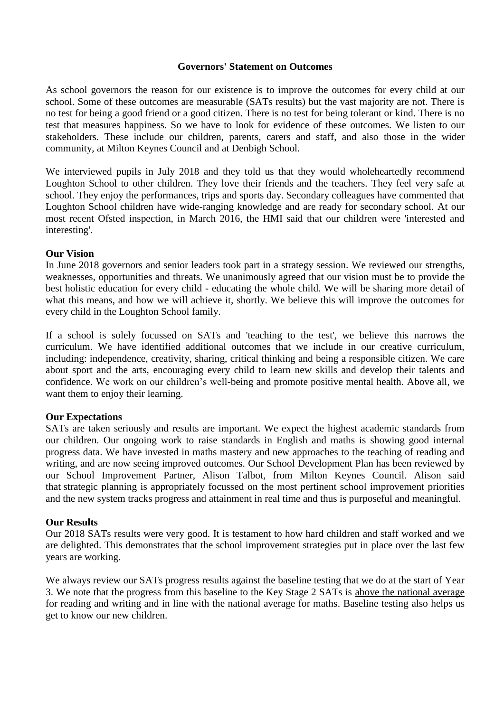### **Governors' Statement on Outcomes**

As school governors the reason for our existence is to improve the outcomes for every child at our school. Some of these outcomes are measurable (SATs results) but the vast majority are not. There is no test for being a good friend or a good citizen. There is no test for being tolerant or kind. There is no test that measures happiness. So we have to look for evidence of these outcomes. We listen to our stakeholders. These include our children, parents, carers and staff, and also those in the wider community, at Milton Keynes Council and at Denbigh School.

We interviewed pupils in July 2018 and they told us that they would wholeheartedly recommend Loughton School to other children. They love their friends and the teachers. They feel very safe at school. They enjoy the performances, trips and sports day. Secondary colleagues have commented that Loughton School children have wide-ranging knowledge and are ready for secondary school. At our most recent Ofsted inspection, in March 2016, the HMI said that our children were 'interested and interesting'.

### **Our Vision**

In June 2018 governors and senior leaders took part in a strategy session. We reviewed our strengths, weaknesses, opportunities and threats. We unanimously agreed that our vision must be to provide the best holistic education for every child - educating the whole child. We will be sharing more detail of what this means, and how we will achieve it, shortly. We believe this will improve the outcomes for every child in the Loughton School family.

If a school is solely focussed on SATs and 'teaching to the test', we believe this narrows the curriculum. We have identified additional outcomes that we include in our creative curriculum, including: independence, creativity, sharing, critical thinking and being a responsible citizen. We care about sport and the arts, encouraging every child to learn new skills and develop their talents and confidence. We work on our children's well-being and promote positive mental health. Above all, we want them to enjoy their learning.

# **Our Expectations**

SATs are taken seriously and results are important. We expect the highest academic standards from our children. Our ongoing work to raise standards in English and maths is showing good internal progress data. We have invested in maths mastery and new approaches to the teaching of reading and writing, and are now seeing improved outcomes. Our School Development Plan has been reviewed by our School Improvement Partner, Alison Talbot, from Milton Keynes Council. Alison said that strategic planning is appropriately focussed on the most pertinent school improvement priorities and the new system tracks progress and attainment in real time and thus is purposeful and meaningful.

# **Our Results**

Our 2018 SATs results were very good. It is testament to how hard children and staff worked and we are delighted. This demonstrates that the school improvement strategies put in place over the last few years are working.

We always review our SATs progress results against the baseline testing that we do at the start of Year 3. We note that the progress from this baseline to the Key Stage 2 SATs is above the national average for reading and writing and in line with the national average for maths. Baseline testing also helps us get to know our new children.